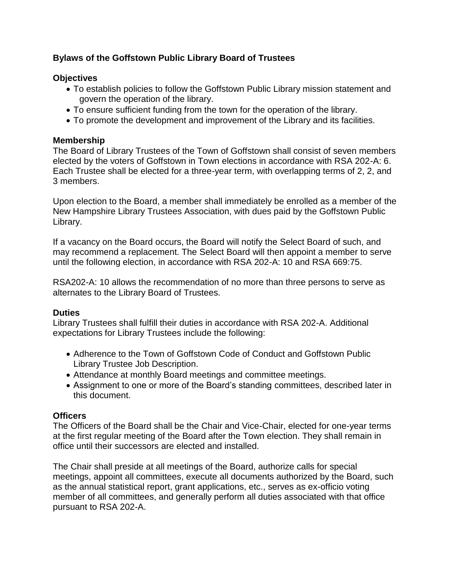# **Bylaws of the Goffstown Public Library Board of Trustees**

# **Objectives**

- To establish policies to follow the Goffstown Public Library mission statement and govern the operation of the library.
- To ensure sufficient funding from the town for the operation of the library.
- To promote the development and improvement of the Library and its facilities.

### **Membership**

The Board of Library Trustees of the Town of Goffstown shall consist of seven members elected by the voters of Goffstown in Town elections in accordance with RSA 202-A: 6. Each Trustee shall be elected for a three-year term, with overlapping terms of 2, 2, and 3 members.

Upon election to the Board, a member shall immediately be enrolled as a member of the New Hampshire Library Trustees Association, with dues paid by the Goffstown Public Library.

If a vacancy on the Board occurs, the Board will notify the Select Board of such, and may recommend a replacement. The Select Board will then appoint a member to serve until the following election, in accordance with RSA 202-A: 10 and RSA 669:75.

RSA202-A: 10 allows the recommendation of no more than three persons to serve as alternates to the Library Board of Trustees.

#### **Duties**

Library Trustees shall fulfill their duties in accordance with RSA 202-A. Additional expectations for Library Trustees include the following:

- Adherence to the Town of Goffstown Code of Conduct and Goffstown Public Library Trustee Job Description.
- Attendance at monthly Board meetings and committee meetings.
- Assignment to one or more of the Board's standing committees, described later in this document.

# **Officers**

The Officers of the Board shall be the Chair and Vice-Chair, elected for one-year terms at the first regular meeting of the Board after the Town election. They shall remain in office until their successors are elected and installed.

The Chair shall preside at all meetings of the Board, authorize calls for special meetings, appoint all committees, execute all documents authorized by the Board, such as the annual statistical report, grant applications, etc., serves as ex-officio voting member of all committees, and generally perform all duties associated with that office pursuant to RSA 202-A.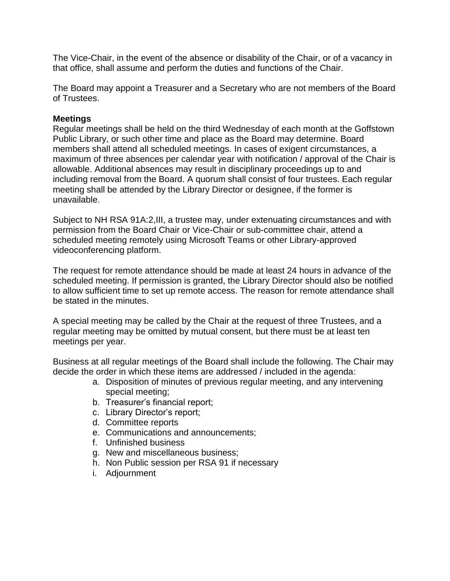The Vice-Chair, in the event of the absence or disability of the Chair, or of a vacancy in that office, shall assume and perform the duties and functions of the Chair.

The Board may appoint a Treasurer and a Secretary who are not members of the Board of Trustees.

### **Meetings**

Regular meetings shall be held on the third Wednesday of each month at the Goffstown Public Library, or such other time and place as the Board may determine. Board members shall attend all scheduled meetings. In cases of exigent circumstances, a maximum of three absences per calendar year with notification / approval of the Chair is allowable. Additional absences may result in disciplinary proceedings up to and including removal from the Board. A quorum shall consist of four trustees. Each regular meeting shall be attended by the Library Director or designee, if the former is unavailable.

Subject to NH RSA 91A:2,III, a trustee may, under extenuating circumstances and with permission from the Board Chair or Vice-Chair or sub-committee chair, attend a scheduled meeting remotely using Microsoft Teams or other Library-approved videoconferencing platform.

The request for remote attendance should be made at least 24 hours in advance of the scheduled meeting. If permission is granted, the Library Director should also be notified to allow sufficient time to set up remote access. The reason for remote attendance shall be stated in the minutes.

A special meeting may be called by the Chair at the request of three Trustees, and a regular meeting may be omitted by mutual consent, but there must be at least ten meetings per year.

Business at all regular meetings of the Board shall include the following. The Chair may decide the order in which these items are addressed / included in the agenda:

- a. Disposition of minutes of previous regular meeting, and any intervening special meeting;
- b. Treasurer's financial report;
- c. Library Director's report;
- d. Committee reports
- e. Communications and announcements;
- f. Unfinished business
- g. New and miscellaneous business;
- h. Non Public session per RSA 91 if necessary
- i. Adjournment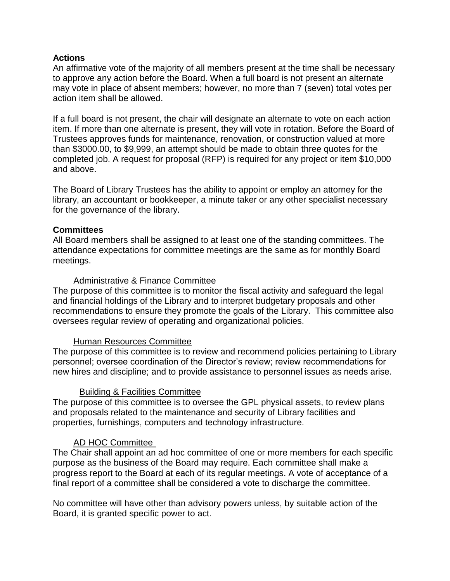#### **Actions**

An affirmative vote of the majority of all members present at the time shall be necessary to approve any action before the Board. When a full board is not present an alternate may vote in place of absent members; however, no more than 7 (seven) total votes per action item shall be allowed.

If a full board is not present, the chair will designate an alternate to vote on each action item. If more than one alternate is present, they will vote in rotation. Before the Board of Trustees approves funds for maintenance, renovation, or construction valued at more than \$3000.00, to \$9,999, an attempt should be made to obtain three quotes for the completed job. A request for proposal (RFP) is required for any project or item \$10,000 and above.

The Board of Library Trustees has the ability to appoint or employ an attorney for the library, an accountant or bookkeeper, a minute taker or any other specialist necessary for the governance of the library.

### **Committees**

All Board members shall be assigned to at least one of the standing committees. The attendance expectations for committee meetings are the same as for monthly Board meetings.

#### Administrative & Finance Committee

The purpose of this committee is to monitor the fiscal activity and safeguard the legal and financial holdings of the Library and to interpret budgetary proposals and other recommendations to ensure they promote the goals of the Library. This committee also oversees regular review of operating and organizational policies.

#### Human Resources Committee

The purpose of this committee is to review and recommend policies pertaining to Library personnel; oversee coordination of the Director's review; review recommendations for new hires and discipline; and to provide assistance to personnel issues as needs arise.

#### Building & Facilities Committee

The purpose of this committee is to oversee the GPL physical assets, to review plans and proposals related to the maintenance and security of Library facilities and properties, furnishings, computers and technology infrastructure.

#### AD HOC Committee

The Chair shall appoint an ad hoc committee of one or more members for each specific purpose as the business of the Board may require. Each committee shall make a progress report to the Board at each of its regular meetings. A vote of acceptance of a final report of a committee shall be considered a vote to discharge the committee.

No committee will have other than advisory powers unless, by suitable action of the Board, it is granted specific power to act.